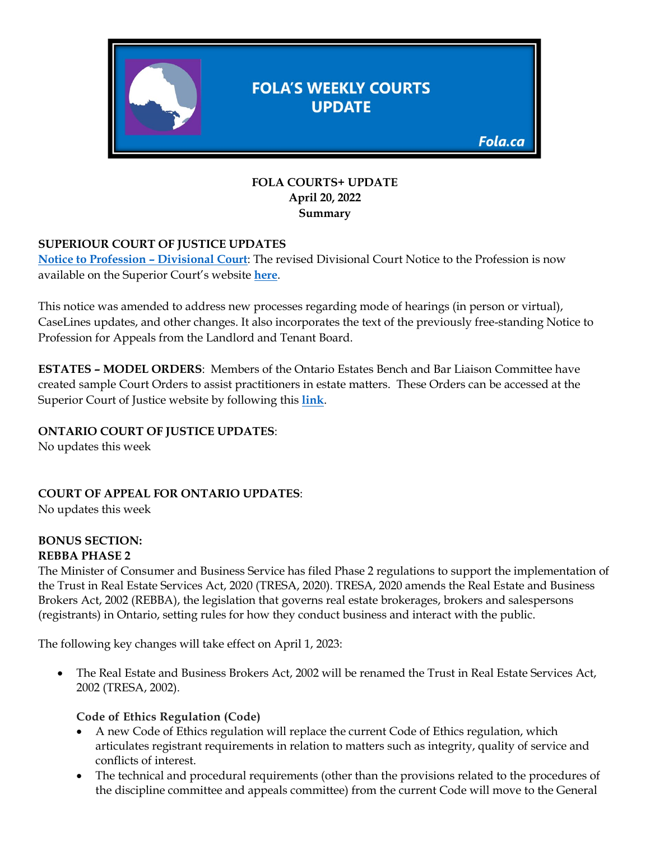

#### **FOLA COURTS+ UPDATE April 20, 2022 Summary**

## **SUPERIOUR COURT OF JUSTICE UPDATES**

**[Notice to Profession –](https://www.ontariocourts.ca/scj/notices-and-orders-covid-19/div-ct-feb2021/) Divisional Court**: The revised Divisional Court Notice to the Profession is now available on the Superior Court's website **[here](https://www.ontariocourts.ca/scj/notices-and-orders-covid-19/div-ct-feb2021/)**.

This notice was amended to address new processes regarding mode of hearings (in person or virtual), CaseLines updates, and other changes. It also incorporates the text of the previously free-standing Notice to Profession for Appeals from the Landlord and Tenant Board.

**ESTATES – MODEL ORDERS**: Members of the Ontario Estates Bench and Bar Liaison Committee have created sample Court Orders to assist practitioners in estate matters. These Orders can be accessed at the Superior Court of Justice website by following this **[link](https://www.ontariocourts.ca/scj/practice/practice-directions/toronto/#Estates_List_Forms)**.

### **ONTARIO COURT OF JUSTICE UPDATES**:

No updates this week

**COURT OF APPEAL FOR ONTARIO UPDATES**:

No updates this week

#### **BONUS SECTION: REBBA PHASE 2**

The Minister of Consumer and Business Service has filed Phase 2 regulations to support the implementation of the Trust in Real Estate Services Act, 2020 (TRESA, 2020). TRESA, 2020 amends the Real Estate and Business Brokers Act, 2002 (REBBA), the legislation that governs real estate brokerages, brokers and salespersons (registrants) in Ontario, setting rules for how they conduct business and interact with the public.

The following key changes will take effect on April 1, 2023:

• The Real Estate and Business Brokers Act, 2002 will be renamed the Trust in Real Estate Services Act, 2002 (TRESA, 2002).

### **Code of Ethics Regulation (Code)**

- A new Code of Ethics regulation will replace the current Code of Ethics regulation, which articulates registrant requirements in relation to matters such as integrity, quality of service and conflicts of interest.
- The technical and procedural requirements (other than the provisions related to the procedures of the discipline committee and appeals committee) from the current Code will move to the General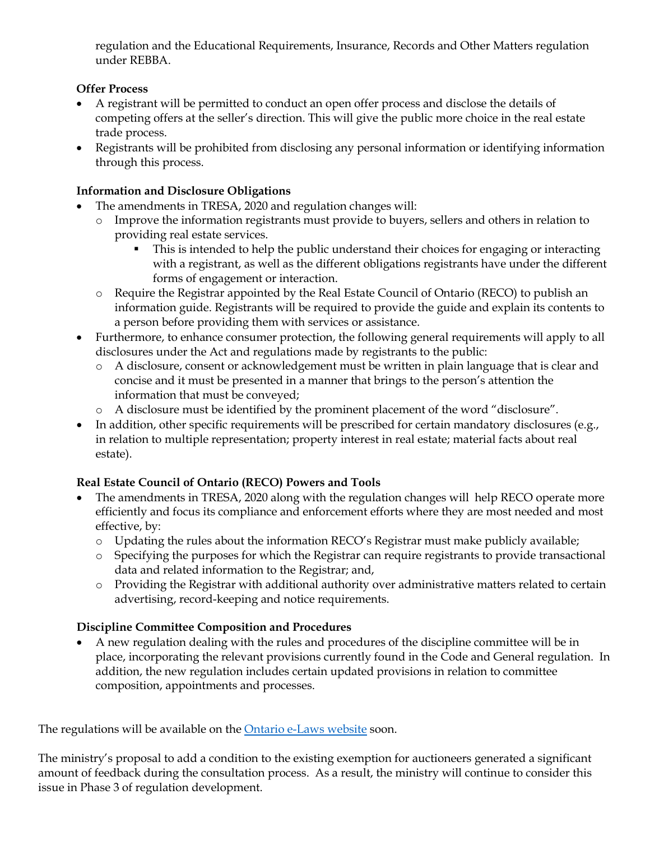regulation and the Educational Requirements, Insurance, Records and Other Matters regulation under REBBA.

## **Offer Process**

- A registrant will be permitted to conduct an open offer process and disclose the details of competing offers at the seller's direction. This will give the public more choice in the real estate trade process.
- Registrants will be prohibited from disclosing any personal information or identifying information through this process.

## **Information and Disclosure Obligations**

- The amendments in TRESA, 2020 and regulation changes will:
	- o Improve the information registrants must provide to buyers, sellers and others in relation to providing real estate services.
		- This is intended to help the public understand their choices for engaging or interacting with a registrant, as well as the different obligations registrants have under the different forms of engagement or interaction.
	- o Require the Registrar appointed by the Real Estate Council of Ontario (RECO) to publish an information guide. Registrants will be required to provide the guide and explain its contents to a person before providing them with services or assistance.
- Furthermore, to enhance consumer protection, the following general requirements will apply to all disclosures under the Act and regulations made by registrants to the public:
	- o A disclosure, consent or acknowledgement must be written in plain language that is clear and concise and it must be presented in a manner that brings to the person's attention the information that must be conveyed;
	- o A disclosure must be identified by the prominent placement of the word "disclosure".
- In addition, other specific requirements will be prescribed for certain mandatory disclosures (e.g., in relation to multiple representation; property interest in real estate; material facts about real estate).

# **Real Estate Council of Ontario (RECO) Powers and Tools**

- The amendments in TRESA, 2020 along with the regulation changes will help RECO operate more efficiently and focus its compliance and enforcement efforts where they are most needed and most effective, by:
	- o Updating the rules about the information RECO's Registrar must make publicly available;
	- o Specifying the purposes for which the Registrar can require registrants to provide transactional data and related information to the Registrar; and,
	- o Providing the Registrar with additional authority over administrative matters related to certain advertising, record-keeping and notice requirements.

# **Discipline Committee Composition and Procedures**

• A new regulation dealing with the rules and procedures of the discipline committee will be in place, incorporating the relevant provisions currently found in the Code and General regulation. In addition, the new regulation includes certain updated provisions in relation to committee composition, appointments and processes.

The regulations will be available on the [Ontario e-Laws website](https://www.ontario.ca/laws/statute/02r30) soon.

The ministry's proposal to add a condition to the existing exemption for auctioneers generated a significant amount of feedback during the consultation process. As a result, the ministry will continue to consider this issue in Phase 3 of regulation development.